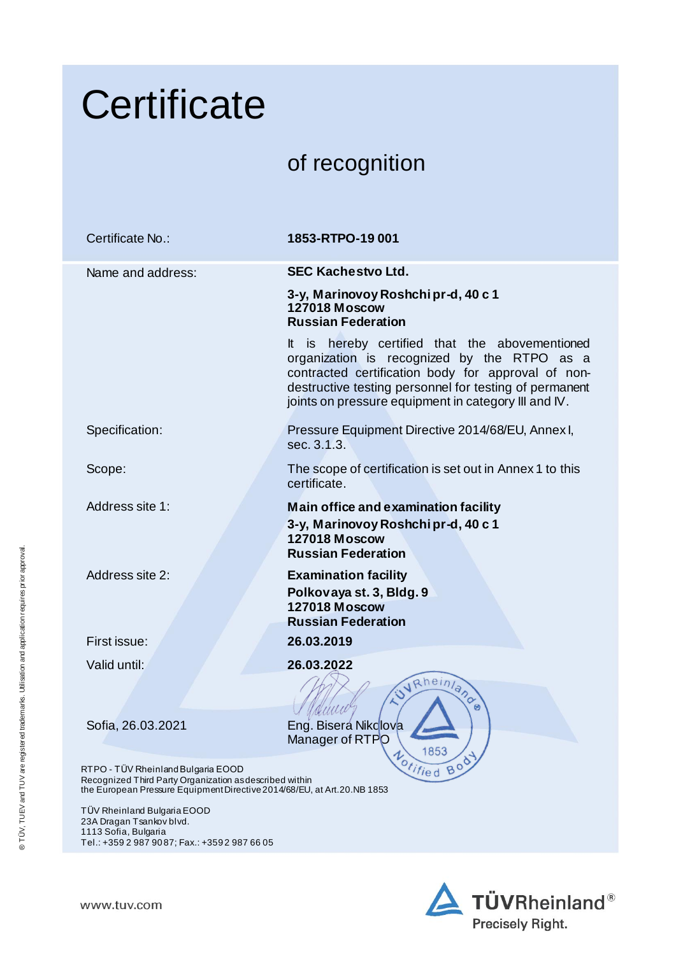|                                                                                                       | Certificate                                                                                                                                                                |                                                                                                                                                                                                                                                                       |  |  |
|-------------------------------------------------------------------------------------------------------|----------------------------------------------------------------------------------------------------------------------------------------------------------------------------|-----------------------------------------------------------------------------------------------------------------------------------------------------------------------------------------------------------------------------------------------------------------------|--|--|
|                                                                                                       |                                                                                                                                                                            | of recognition                                                                                                                                                                                                                                                        |  |  |
|                                                                                                       | Certificate No.:                                                                                                                                                           | 1853-RTPO-19 001                                                                                                                                                                                                                                                      |  |  |
|                                                                                                       | Name and address:                                                                                                                                                          | <b>SEC Kachestvo Ltd.</b>                                                                                                                                                                                                                                             |  |  |
|                                                                                                       |                                                                                                                                                                            | 3-y, Marinovoy Roshchipr-d, 40 c 1<br><b>127018 Moscow</b><br><b>Russian Federation</b>                                                                                                                                                                               |  |  |
|                                                                                                       |                                                                                                                                                                            | It is hereby certified that the abovementioned<br>organization is recognized by the RTPO as a<br>contracted certification body for approval of non-<br>destructive testing personnel for testing of permanent<br>joints on pressure equipment in category III and IV. |  |  |
|                                                                                                       | Specification:                                                                                                                                                             | Pressure Equipment Directive 2014/68/EU, Annex I,<br>sec. 3.1.3.                                                                                                                                                                                                      |  |  |
|                                                                                                       | Scope:                                                                                                                                                                     | The scope of certification is set out in Annex 1 to this<br>certificate.                                                                                                                                                                                              |  |  |
| approval<br>® TÜV, TUEV and TUV are registered trademarks. Utilisation and application requires prior | Address site 1:                                                                                                                                                            | Main office and examination facility<br>3-y, Marinovoy Roshchi pr-d, 40 c 1<br><b>127018 Moscow</b><br><b>Russian Federation</b>                                                                                                                                      |  |  |
|                                                                                                       | Address site 2:                                                                                                                                                            | <b>Examination facility</b><br>Polkovaya st. 3, Bldg. 9<br><b>127018 Moscow</b><br><b>Russian Federation</b>                                                                                                                                                          |  |  |
|                                                                                                       | First issue:                                                                                                                                                               | 26.03.2019                                                                                                                                                                                                                                                            |  |  |
|                                                                                                       | Valid until:                                                                                                                                                               | 26.03.2022<br>VRheinland                                                                                                                                                                                                                                              |  |  |
|                                                                                                       | Sofia, 26.03.2021                                                                                                                                                          | Eng. Bisera Nikclova<br>Manager of RTPO<br>1853                                                                                                                                                                                                                       |  |  |
|                                                                                                       | RTPO - TÜV Rheinland Bulgaria EOOD<br>Recognized Third Party Organization as described within<br>the European Pressure Equipment Directive 2014/68/EU, at Art. 20. NB 1853 | Offified Bod                                                                                                                                                                                                                                                          |  |  |
|                                                                                                       | TÜV Rheinland Bulgaria EOOD<br>23A Dragan Tsankov blvd.<br>1113 Sofia, Bulgaria<br>Tel.: +359 2 987 9087; Fax.: +3592 987 66 05                                            |                                                                                                                                                                                                                                                                       |  |  |